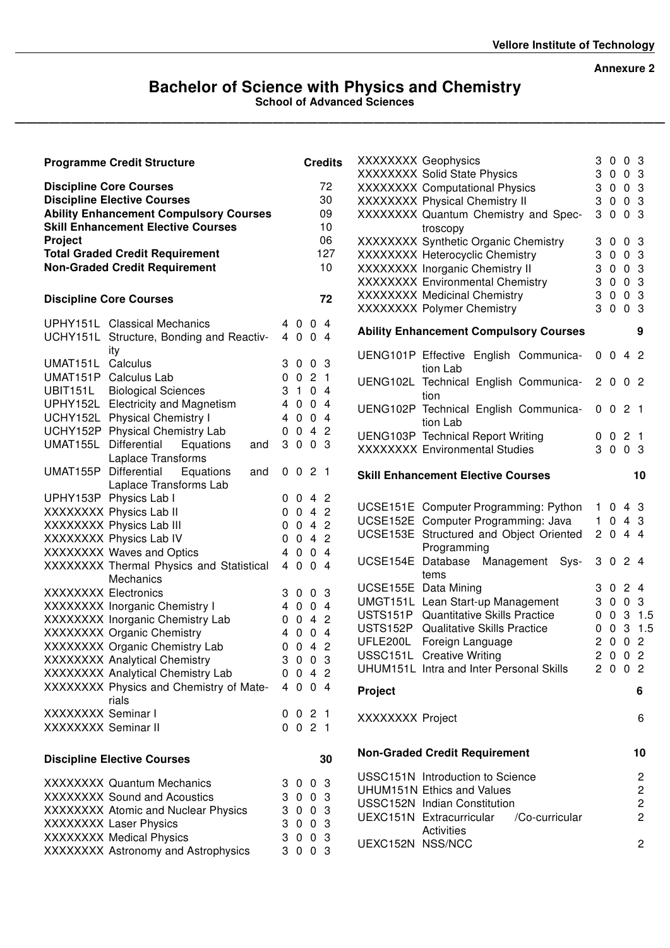### Annexure 2

### Bachelor of Science with Physics and Chemistry

School of Advanced Sciences

——————————————————————————————————————————————————————————

|                             | <b>Programme Credit Structure</b>                             |                |                             |                | <b>Credits</b> | $0 \t0 \t3$<br>XXXXXXX Geophysics<br>3<br>$0 \t0 \t3$                                         |
|-----------------------------|---------------------------------------------------------------|----------------|-----------------------------|----------------|----------------|-----------------------------------------------------------------------------------------------|
|                             | <b>Discipline Core Courses</b>                                |                |                             |                | 72             | XXXXXXX Solid State Physics<br>3<br><b>XXXXXXXX</b> Computational Physics<br>$0 \t0 \t3$<br>3 |
|                             | <b>Discipline Elective Courses</b>                            |                |                             |                | 30             | XXXXXXX Physical Chemistry II<br>$0 \t0 \t3$<br>3                                             |
|                             | <b>Ability Enhancement Compulsory Courses</b>                 |                |                             |                | 09             | XXXXXXX Quantum Chemistry and Spec-<br>$0 \t0 \t3$<br>3                                       |
|                             | <b>Skill Enhancement Elective Courses</b>                     |                |                             |                | 10             | troscopy                                                                                      |
| Project                     |                                                               |                |                             |                | 06             | XXXXXXX Synthetic Organic Chemistry<br>$0 \t0 \t3$<br>3                                       |
|                             | <b>Total Graded Credit Requirement</b>                        |                |                             |                | 127            | XXXXXXX Heterocyclic Chemistry<br>$0 \t0 \t3$<br>3                                            |
|                             | <b>Non-Graded Credit Requirement</b>                          |                |                             |                | 10             | $0 \t0 \t3$<br>XXXXXXX Inorganic Chemistry II<br>3                                            |
|                             |                                                               |                |                             |                |                | XXXXXXX Environmental Chemistry<br>$0 \t0 \t3$<br>3                                           |
|                             | <b>Discipline Core Courses</b>                                |                |                             |                | 72             | $0 \t0 \t3$<br><b>XXXXXXX Medicinal Chemistry</b><br>3                                        |
|                             |                                                               |                |                             |                |                | 3<br>$0 \t0 \t3$<br>XXXXXXX Polymer Chemistry                                                 |
|                             | UPHY151L Classical Mechanics                                  |                | 4 0 0 4                     |                |                | <b>Ability Enhancement Compulsory Courses</b><br>9                                            |
|                             | UCHY151L Structure, Bonding and Reactiv-                      |                | 4 0 0 4                     |                |                |                                                                                               |
|                             | ity                                                           |                |                             |                |                | $0 \t0 \t4 \t2$<br>UENG101P Effective English Communica-                                      |
| UMAT151L Calculus           |                                                               |                | 3 0 0 3                     |                |                | tion Lab                                                                                      |
|                             | UMAT151P Calculus Lab                                         |                | 0 0 2 1                     |                |                | UENG102L Technical English Communica-<br>2002                                                 |
| UBIT151L                    | <b>Biological Sciences</b>                                    | 3 <sub>1</sub> |                             | 0 <sub>4</sub> |                | tion                                                                                          |
|                             | UPHY152L Electricity and Magnetism                            | $\overline{4}$ | $0 \t0 \t4$                 |                |                | UENG102P Technical English Communica-<br>0 0 2 1                                              |
|                             | UCHY152L Physical Chemistry I                                 | $\overline{4}$ | $0 \t0 \t4$                 |                |                | tion Lab                                                                                      |
|                             | UCHY152P Physical Chemistry Lab                               |                | 0 0 4 2                     |                |                | <b>UENG103P</b> Technical Report Writing<br>021<br>0                                          |
|                             | UMAT155L Differential<br>Equations<br>and                     |                | 3 0 0 3                     |                |                | 3 0 0 3<br><b>XXXXXXXX</b> Environmental Studies                                              |
|                             | Laplace Transforms                                            |                |                             |                |                |                                                                                               |
|                             | UMAT155P Differential<br>Equations<br>and                     |                | $0 \t0 \t2 \t1$             |                |                | <b>Skill Enhancement Elective Courses</b><br>10                                               |
|                             | Laplace Transforms Lab<br>UPHY153P Physics Lab I              |                | $0 \t0 \t4 \t2$             |                |                |                                                                                               |
|                             | XXXXXXX Physics Lab II                                        | 0              | 042                         |                |                | UCSE151E Computer Programming: Python<br>1043                                                 |
|                             | XXXXXXX Physics Lab III                                       | 0              | 042                         |                |                | UCSE152E Computer Programming: Java<br>043<br>$\mathbf{1}$                                    |
|                             | XXXXXXX Physics Lab IV                                        | $\mathbf 0$    | 042                         |                |                | UCSE153E Structured and Object Oriented<br>2044                                               |
|                             | XXXXXXX Waves and Optics                                      |                |                             |                |                |                                                                                               |
|                             |                                                               |                |                             |                |                | Programming                                                                                   |
|                             |                                                               | 4              | $0 \t0 \t4$                 |                |                | UCSE154E Database Management Sys-<br>24<br>3<br>$\mathbf 0$                                   |
|                             | XXXXXXX Thermal Physics and Statistical                       |                | 4 0 0 4                     |                |                | tems                                                                                          |
|                             | <b>Mechanics</b>                                              |                |                             |                |                | UCSE155E Data Mining<br>24<br>$\mathbf 0$<br>3                                                |
| <b>XXXXXXXX</b> Electronics |                                                               | 3              | $0 \t0 \t3$                 |                |                | UMGT151L Lean Start-up Management<br>$0 \t0 \t3$<br>3                                         |
|                             | XXXXXXX Inorganic Chemistry I                                 | 4              | $0 \t0 \t4$                 |                |                | 031.5<br>USTS151P Quantitative Skills Practice<br>0                                           |
|                             | XXXXXXX Inorganic Chemistry Lab                               | 0              | 042                         |                |                | USTS152P Qualitative Skills Practice<br>031.5<br>0                                            |
|                             | XXXXXXX Organic Chemistry                                     | 4              | $0 \t0 \t4$                 |                |                | $0 \t0 \t2$<br>UFLE200L Foreign Language<br>2                                                 |
|                             | XXXXXXX Organic Chemistry Lab                                 | 0              | 042                         |                |                | 200<br>$\overline{c}$<br>USSC151L Creative Writing                                            |
|                             | XXXXXXX Analytical Chemistry                                  |                | 3 0 0 3                     |                |                | UHUM151L Intra and Inter Personal Skills<br>2 0 0 2                                           |
|                             | XXXXXXX Analytical Chemistry Lab                              |                | $0 \t0 \t4 \t2$             |                |                |                                                                                               |
|                             | XXXXXXX Physics and Chemistry of Mate-                        |                | 4 0 0 4                     |                |                | <b>Project</b><br>6                                                                           |
| XXXXXXX Seminar I           | rials                                                         | 0              |                             |                |                |                                                                                               |
| XXXXXXX Seminar II          |                                                               |                | 0 2 1<br>$0 \t0 \t2 \t1$    |                |                | XXXXXXX Project<br>6                                                                          |
|                             |                                                               |                |                             |                |                |                                                                                               |
|                             | <b>Discipline Elective Courses</b>                            |                |                             |                | 30             | <b>Non-Graded Credit Requirement</b><br>10                                                    |
|                             |                                                               |                |                             |                |                | USSC151N Introduction to Science<br>$\overline{c}$                                            |
|                             | <b>XXXXXXXX</b> Quantum Mechanics                             |                | 3 0 0 3                     |                |                | $\overline{c}$<br><b>UHUM151N Ethics and Values</b>                                           |
|                             | <b>XXXXXXX Sound and Acoustics</b>                            | 3              | $\overline{0}$              | 0 <sub>3</sub> |                | $\boldsymbol{2}$<br>USSC152N Indian Constitution                                              |
|                             | XXXXXXX Atomic and Nuclear Physics                            | 3              | $0 \t0 \t3$                 |                |                | $\overline{c}$<br>UEXC151N Extracurricular<br>/Co-curricular                                  |
|                             | XXXXXXX Laser Physics                                         | 3              | $\overline{0}$              | 0 <sub>3</sub> |                | Activities                                                                                    |
|                             | XXXXXXX Medical Physics<br>XXXXXXX Astronomy and Astrophysics | 3<br>3         | $\mathbf{0}$<br>$0 \t0 \t3$ | 0 <sub>3</sub> |                | UEXC152N NSS/NCC<br>$\overline{2}$                                                            |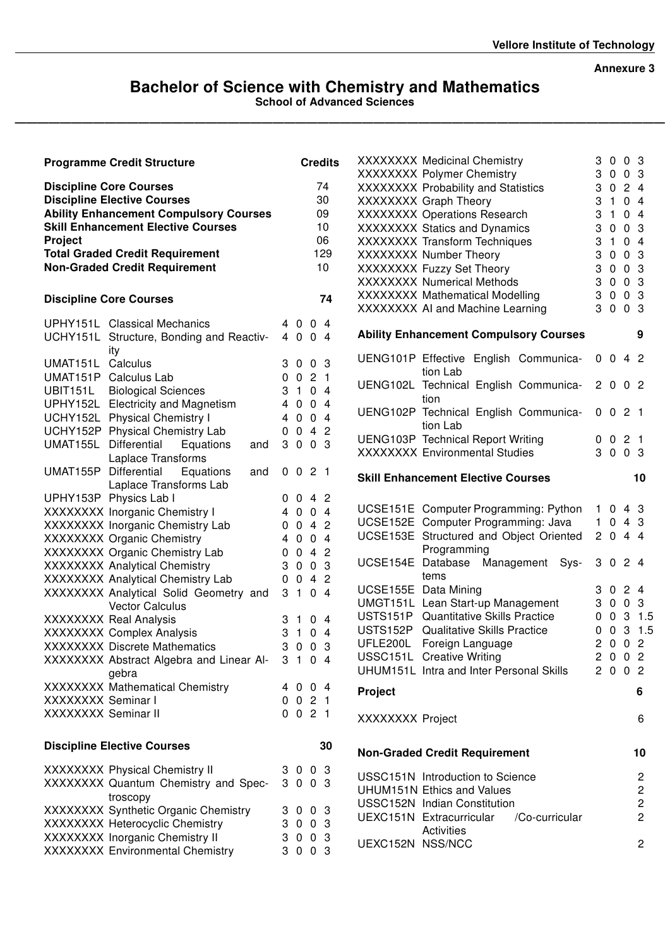#### Annexure 3

# Bachelor of Science with Chemistry and Mathematics

——————————————————————————————————————————————————————————

School of Advanced Sciences

|                                                                                                                       | <b>Programme Credit Structure</b>                               |                  |                     | <b>Credits</b> | XXXXXXX Medicinal Chemistry<br>XXXXXXX Polymer Chemistry                                  | 3<br>3         | $0\quad0\quad3$<br>$0 \t0 \t3$      |                |                |
|-----------------------------------------------------------------------------------------------------------------------|-----------------------------------------------------------------|------------------|---------------------|----------------|-------------------------------------------------------------------------------------------|----------------|-------------------------------------|----------------|----------------|
| <b>Discipline Core Courses</b><br><b>Discipline Elective Courses</b><br><b>Ability Enhancement Compulsory Courses</b> |                                                                 |                  |                     | 74<br>30<br>09 | XXXXXXX Probability and Statistics<br>XXXXXXX Graph Theory<br>XXXXXXX Operations Research | 3<br>3<br>3    | 024<br>$\mathbf{1}$<br>$\mathbf{1}$ | 04<br>04       |                |
|                                                                                                                       | <b>Skill Enhancement Elective Courses</b>                       |                  |                     | 10             | XXXXXXX Statics and Dynamics                                                              | 3              | $\mathbf 0$                         | 0 <sub>3</sub> |                |
| <b>Project</b>                                                                                                        |                                                                 |                  |                     | 06             | XXXXXXX Transform Techniques                                                              | 3              | $\mathbf{1}$                        | 0 <sub>4</sub> |                |
|                                                                                                                       | <b>Total Graded Credit Requirement</b>                          |                  |                     | 129            | XXXXXXX Number Theory                                                                     | 3              | $\mathbf 0$                         | 0 <sub>3</sub> |                |
|                                                                                                                       | <b>Non-Graded Credit Requirement</b>                            |                  |                     | 10             | XXXXXXX Fuzzy Set Theory                                                                  | 3              | $\mathbf 0$                         | 0 <sub>3</sub> |                |
|                                                                                                                       |                                                                 |                  |                     |                | <b>XXXXXXX Numerical Methods</b>                                                          | 3              | $0 \t0 \t3$                         |                |                |
| <b>Discipline Core Courses</b>                                                                                        |                                                                 |                  |                     | 74             | XXXXXXX Mathematical Modelling<br>XXXXXXX AI and Machine Learning                         | 3<br>3         | $0 \t0 \t3$<br>$0 \t0 \t3$          |                |                |
|                                                                                                                       | UPHY151L Classical Mechanics                                    |                  | 4 0 0 4             |                |                                                                                           |                |                                     |                |                |
| ity                                                                                                                   | UCHY151L Structure, Bonding and Reactiv-                        |                  | 4 0 0 4             |                | <b>Ability Enhancement Compulsory Courses</b><br>UENG101P Effective English Communica-    |                | $0 \t0 \t4 \t2$                     |                | 9              |
| UMAT151L Calculus                                                                                                     |                                                                 |                  | 3 0 0 3             |                | tion Lab                                                                                  |                |                                     |                |                |
| UMAT151P Calculus Lab                                                                                                 |                                                                 | 0                | $\mathbf 0$         | 2 <sub>1</sub> | UENG102L Technical English Communica-                                                     | 2 <sub>0</sub> |                                     | 0 <sub>2</sub> |                |
| UBIT151L                                                                                                              | <b>Biological Sciences</b>                                      | 3                | $\mathbf{1}$        | 0 <sub>4</sub> | tion                                                                                      |                |                                     |                |                |
|                                                                                                                       | UPHY152L Electricity and Magnetism                              | 4                | $\mathbf 0$         | 0 <sub>4</sub> | UENG102P Technical English Communica-                                                     | 0 <sub>0</sub> |                                     | 21             |                |
|                                                                                                                       | UCHY152L Physical Chemistry I                                   | 4                | $0 \t0 \t4$         |                | tion Lab                                                                                  |                |                                     |                |                |
|                                                                                                                       | UCHY152P Physical Chemistry Lab                                 | $\mathbf 0$      | 042                 |                | <b>UENG103P</b> Technical Report Writing                                                  | 0              | $\mathbf{0}$                        | 2 <sub>1</sub> |                |
| UMAT155L Differential                                                                                                 | Equations<br>and                                                | 3                | $0 \t0 \t3$         |                | <b>XXXXXXXX</b> Environmental Studies                                                     |                | 3 0 0 3                             |                |                |
|                                                                                                                       | Laplace Transforms                                              |                  |                     |                |                                                                                           |                |                                     |                |                |
| UMAT155P Differential                                                                                                 | Equations<br>and                                                |                  | 0 0 2 1             |                | <b>Skill Enhancement Elective Courses</b>                                                 |                |                                     |                | 10             |
|                                                                                                                       | Laplace Transforms Lab                                          |                  |                     |                |                                                                                           |                |                                     |                |                |
| UPHY153P Physics Lab I                                                                                                |                                                                 |                  | $0 \t0 \t4 \t2$     |                | UCSE151E Computer Programming: Python                                                     |                | 1043                                |                |                |
|                                                                                                                       | XXXXXXX Inorganic Chemistry I                                   | 4                | $0 \t0 \t4$         |                | UCSE152E Computer Programming: Java                                                       | 1              | 043                                 |                |                |
|                                                                                                                       | XXXXXXX Inorganic Chemistry Lab                                 | $\mathbf 0$      | 042<br>$0 \t0 \t4$  |                | UCSE153E Structured and Object Oriented                                                   |                | 2044                                |                |                |
|                                                                                                                       | <b>XXXXXXX Organic Chemistry</b>                                | 4                | 042                 |                | Programming                                                                               |                |                                     |                |                |
|                                                                                                                       | XXXXXXX Organic Chemistry Lab<br>XXXXXXX Analytical Chemistry   | $\mathbf 0$<br>3 | $0 \t0 \t3$         |                | UCSE154E Database Management Sys-                                                         |                | 3 0 2 4                             |                |                |
|                                                                                                                       |                                                                 |                  | 042                 |                | tems                                                                                      |                |                                     |                |                |
|                                                                                                                       | XXXXXXX Analytical Chemistry Lab                                | 0<br>3           | $1 \quad 0 \quad 4$ |                | UCSE155E Data Mining                                                                      | 3              | 024                                 |                |                |
|                                                                                                                       | XXXXXXX Analytical Solid Geometry and<br><b>Vector Calculus</b> |                  |                     |                | UMGT151L Lean Start-up Management                                                         | 3              | $0\quad 0$                          |                | 3              |
| <b>XXXXXXX Real Analysis</b>                                                                                          |                                                                 |                  | 3 1 0 4             |                | USTS151P Quantitative Skills Practice                                                     | 0              |                                     |                | 031.5          |
|                                                                                                                       | <b>XXXXXXX Complex Analysis</b>                                 | 3                | $\mathbf{1}$        | 0 <sub>4</sub> | USTS152P Qualitative Skills Practice                                                      | 0              |                                     |                | 031.5          |
|                                                                                                                       | <b>XXXXXXXX</b> Discrete Mathematics                            | 3                | $0 \t0 \t3$         |                | UFLE200L Foreign Language                                                                 |                | 2002                                |                |                |
|                                                                                                                       | XXXXXXXX Abstract Algebra and Linear Al- 3 1 0 4                |                  |                     |                | USSC151L Creative Writing                                                                 |                | 2002                                |                |                |
|                                                                                                                       | gebra                                                           |                  |                     |                | UHUM151L Intra and Inter Personal Skills                                                  |                | 2 0 0 2                             |                |                |
|                                                                                                                       | XXXXXXX Mathematical Chemistry                                  |                  | 4 0 0 4             |                | Project                                                                                   |                |                                     |                | 6              |
| XXXXXXX Seminar I                                                                                                     |                                                                 |                  | 0 0 2 1             |                |                                                                                           |                |                                     |                |                |
| XXXXXXX Seminar II                                                                                                    |                                                                 |                  | 0 0 2 1             |                | XXXXXXX Project                                                                           |                |                                     |                | 6              |
|                                                                                                                       | <b>Discipline Elective Courses</b>                              |                  |                     | 30             | <b>Non-Graded Credit Requirement</b>                                                      |                |                                     |                | 10             |
|                                                                                                                       | <b>XXXXXXX Physical Chemistry II</b>                            |                  | 3 0 0 3             |                |                                                                                           |                |                                     |                |                |
|                                                                                                                       | XXXXXXX Quantum Chemistry and Spec-                             |                  | 3 0 0 3             |                | USSC151N Introduction to Science                                                          |                |                                     |                | $\mathbf{2}$   |
|                                                                                                                       | troscopy                                                        |                  |                     |                | <b>UHUM151N Ethics and Values</b>                                                         |                |                                     |                | $\overline{c}$ |
|                                                                                                                       | XXXXXXX Synthetic Organic Chemistry                             |                  | 3 0 0 3             |                | USSC152N Indian Constitution                                                              |                |                                     |                | $\overline{c}$ |
|                                                                                                                       | XXXXXXX Heterocyclic Chemistry                                  |                  | 3 0 0 3             |                | UEXC151N Extracurricular<br>/Co-curricular                                                |                |                                     |                | $\overline{c}$ |
|                                                                                                                       | XXXXXXX Inorganic Chemistry II                                  |                  | 3 0 0 3             |                | Activities<br>UEXC152N NSS/NCC                                                            |                |                                     |                |                |
|                                                                                                                       | XXXXXXX Environmental Chemistry                                 |                  | 3 0 0 3             |                |                                                                                           |                |                                     |                | $\overline{2}$ |
|                                                                                                                       |                                                                 |                  |                     |                |                                                                                           |                |                                     |                |                |